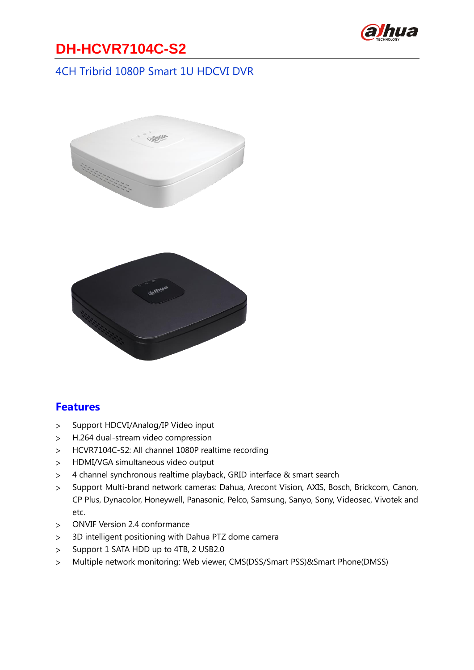

## **DH-HCVR7104C-S2**

#### 4CH Tribrid 1080P Smart 1U HDCVI DVR



#### **Features**

- Support HDCVI/Analog/IP Video input  $\geq$
- H.264 dual-stream video compression  $\geq$
- HCVR7104C-S2: All channel 1080P realtime recording  $\geq$
- HDMI/VGA simultaneous video output  $\geq$
- 4 channel synchronous realtime playback, GRID interface & smart search  $\geq$
- Support Multi-brand network cameras: Dahua, Arecont Vision, AXIS, Bosch, Brickcom, Canon,  $\geq$ CP Plus, Dynacolor, Honeywell, Panasonic, Pelco, Samsung, Sanyo, Sony, Videosec, Vivotek and etc.
- ONVIF Version 2.4 conformance  $\geq$
- 3D intelligent positioning with Dahua PTZ dome camera  $\geq$
- Support 1 SATA HDD up to 4TB, 2 USB2.0  $\geq$
- Multiple network monitoring: Web viewer, CMS(DSS/Smart PSS)&Smart Phone(DMSS) $\geq$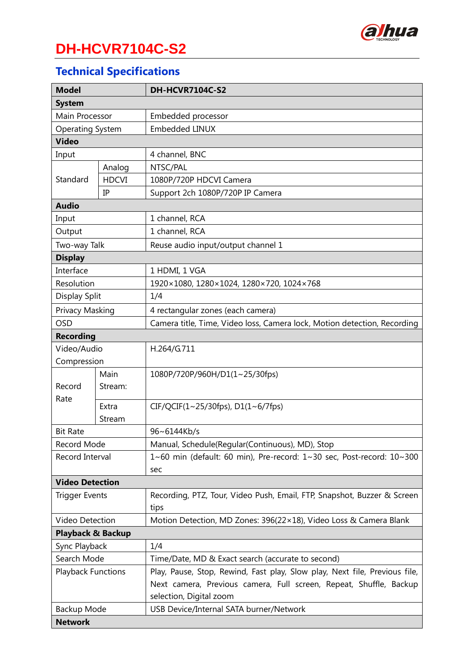

# **DH-HCVR7104C-S2**

# **Technical Specifications**

| <b>Model</b>                 |              | DH-HCVR7104C-S2                                                            |
|------------------------------|--------------|----------------------------------------------------------------------------|
| <b>System</b>                |              |                                                                            |
| Main Processor               |              | Embedded processor                                                         |
| <b>Operating System</b>      |              | <b>Embedded LINUX</b>                                                      |
| <b>Video</b>                 |              |                                                                            |
| Input                        |              | 4 channel, BNC                                                             |
| Standard                     | Analog       | NTSC/PAL                                                                   |
|                              | <b>HDCVI</b> | 1080P/720P HDCVI Camera                                                    |
|                              | IP           | Support 2ch 1080P/720P IP Camera                                           |
| <b>Audio</b>                 |              |                                                                            |
| Input                        |              | 1 channel, RCA                                                             |
| Output                       |              | 1 channel, RCA                                                             |
| Two-way Talk                 |              | Reuse audio input/output channel 1                                         |
| <b>Display</b>               |              |                                                                            |
| Interface                    |              | 1 HDMI, 1 VGA                                                              |
| Resolution                   |              | 1920×1080, 1280×1024, 1280×720, 1024×768                                   |
| Display Split                |              | 1/4                                                                        |
| Privacy Masking              |              | 4 rectangular zones (each camera)                                          |
| <b>OSD</b>                   |              | Camera title, Time, Video loss, Camera lock, Motion detection, Recording   |
| <b>Recording</b>             |              |                                                                            |
| Video/Audio                  |              | H.264/G.711                                                                |
| Compression                  |              |                                                                            |
|                              | Main         | 1080P/720P/960H/D1(1~25/30fps)                                             |
| Record                       | Stream:      |                                                                            |
| Rate                         | Extra        | $CIF/QCIF(1~25/30fps)$ , $D1(1~6/7fps)$                                    |
|                              | Stream       |                                                                            |
| <b>Bit Rate</b>              |              | 96~6144Kb/s                                                                |
| Record Mode                  |              | Manual, Schedule(Regular(Continuous), MD), Stop                            |
| Record Interval              |              | 1~60 min (default: 60 min), Pre-record: 1~30 sec, Post-record: 10~300      |
|                              |              | sec                                                                        |
| <b>Video Detection</b>       |              |                                                                            |
| <b>Trigger Events</b>        |              | Recording, PTZ, Tour, Video Push, Email, FTP, Snapshot, Buzzer & Screen    |
|                              |              | tips                                                                       |
| Video Detection              |              | Motion Detection, MD Zones: 396(22×18), Video Loss & Camera Blank          |
| <b>Playback &amp; Backup</b> |              |                                                                            |
| Sync Playback                |              | 1/4                                                                        |
| Search Mode                  |              | Time/Date, MD & Exact search (accurate to second)                          |
| <b>Playback Functions</b>    |              | Play, Pause, Stop, Rewind, Fast play, Slow play, Next file, Previous file, |
|                              |              | Next camera, Previous camera, Full screen, Repeat, Shuffle, Backup         |
|                              |              | selection, Digital zoom                                                    |
| Backup Mode                  |              | USB Device/Internal SATA burner/Network                                    |
| <b>Network</b>               |              |                                                                            |